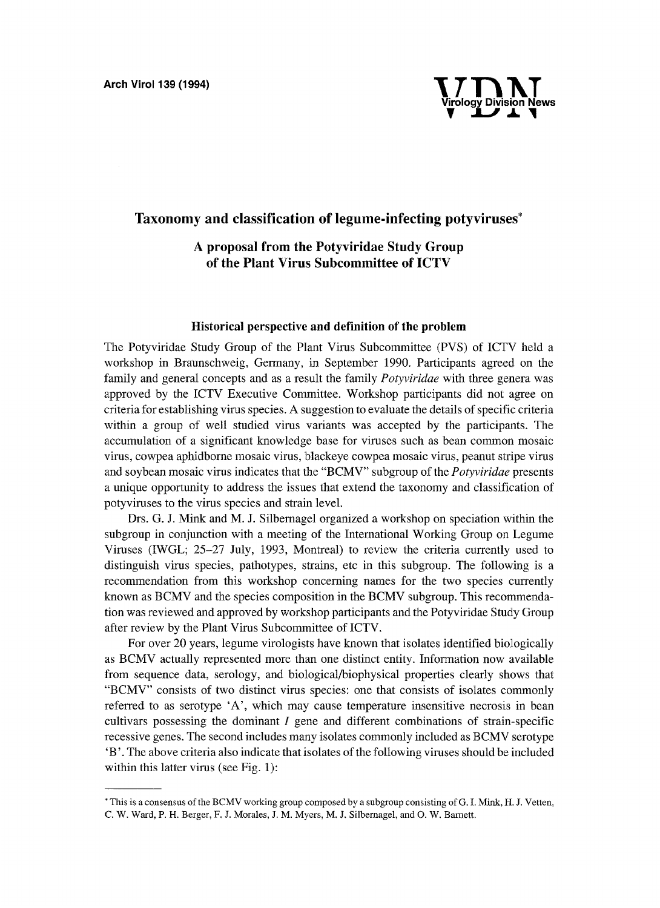

# **Taxonomy and classification of legume-infecting potyviruses\***

# **A proposal from the Potyviridae Study Group of the Plant Virus Subcommittee of ICTV**

#### **Historical perspective and definition of the problem**

The Potyviridae Study Group of the Plant Virus Subcommittee (PVS) of ICTV held a workshop in Braunschweig, Germany, in September 1990. Participants agreed on the family and general concepts and as a result the family *Potyviridae* with three genera was approved by the ICTV Executive Committee. Workshop participants did not agree on criteria for establishing virus species. A suggestion to evaluate the details of specific criteria within a group of well studied virus variants was accepted by the participants. The accumulation of a significant knowledge base for viruses such as bean common mosaic virus, cowpea aphidborne mosaic virus, blackeye cowpea mosaic virus, peanut stripe virus and soybean mosaic virus indicates that the "BCMV" subgroup of the *Potyviridae* presents a unique opportunity to address the issues that extend the taxonomy and classification of potyviruses to the virus species and strain level.

Drs. G. J. Mink and M. J. Silbernagel organized a workshop on speciation within the subgroup in conjunction with a meeting of the International Working Group on Legume Viruses (IWGL; 25-27 July, 1993, Montreal) to review the criteria currently used to distinguish virus species, pathotypes, strains, etc in this subgroup. The following is a recommendation from this workshop concerning names for the two species currently known as BCMV and the species composition in the BCMV subgroup. This recommendation was reviewed and approved by workshop participants and the Potyviridae Study Group after review by the Plant Virus Subcommittee of ICTV.

For over 20 years, legume virologists have known that isolates identified biologically as BCMV actually represented more than one distinct entity. Information now available from sequence data, serology, and biological/biophysical properties clearly shows that "BCMV" consists of two distinct virus species: one that consists of isolates commonly referred to as serotype 'A', which may cause temperature insensitive necrosis in bean cultivars possessing the dominant I gene and different combinations of strain-specific recessive genes. The second includes many isolates commonly included as BCMV serotype 'B'. The above criteria also indicate that isolates of the following viruses should be included within this latter virus (see Fig. 1):

<sup>\*</sup> This is a consensus of the BCMV working group composed by a subgroup consisting of G. I. Mink, H. J. Vetten, C. W. Ward, P. H. Berger, F. J. Morales, J. M. Myers, M. J. Silbernagel, and O. W. Barnett.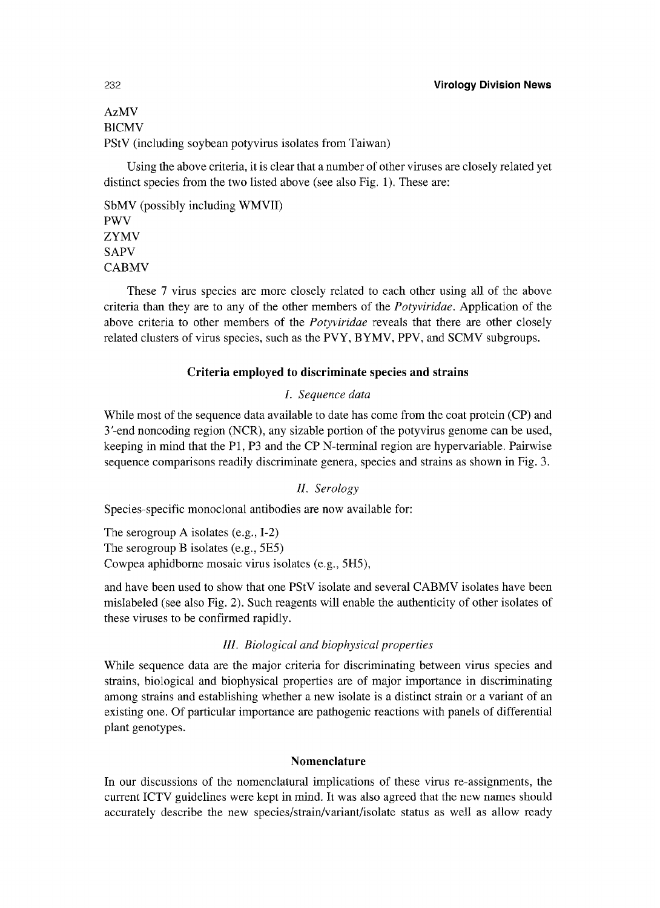# AzMV B1CMV PStV (including soybean potyvirus isolates from Taiwan)

Using the above criteria, it is clear that a number of other viruses are closely related yet distinct species from the two listed above (see also Fig. 1). These are:

```
SbMV (possibly including WMVII) 
PWV 
ZYMV 
SAPV 
CABMV
```
These 7 virus species are more closely related to each other using all of the above criteria than they are to any of the other members of the *Potyviridae.* Application of the above criteria to other members of the *Potyviridae* reveals that there are other closely related clusters of virus species, such as the PVY, BYMV, PPV, and SCMV subgroups.

# **Criteria employed to discriminate species and strains**

### *I. Sequence data*

While most of the sequence data available to date has come from the coat protein (CP) and 3'-end noncoding region (NCR), any sizable portion of the potyvirus genome can be used, keeping in mind that the P1, P3 and the CP N-terminal region are hypervariable. Pairwise sequence comparisons readily discriminate genera, species and strains as shown in Fig. 3.

### *H. Serology*

Species-specific monoclonal antibodies are now available for:

The serogroup A isolates (e.g., I-2) The serogroup B isolates (e.g., 5E5) Cowpea aphidborne mosaic virus isolates (e.g., 5H5),

and have been used to show that one PStV isolate and several CABMV isolates have been mislabeled (see also Fig. 2). Such reagents will enable the authenticity of other isolates of these viruses to be confirmed rapidly.

# *III. Biological and biophysical properties*

While sequence data are the major criteria for discriminating between virus species and strains, biological and biophysical properties are of major importance in discriminating among strains and establishing whether a new isolate is a distinct strain or a variant of an existing one. Of particular importance are pathogenic reactions with panels of differential plant genotypes.

### **Nomenclature**

In our discussions of the nomenclatural implications of these virus re-assignments, the current ICTV guidelines were kept in mind. It was also agreed that the new names should accurately describe the new species/strain/variant/isolate status as well as allow ready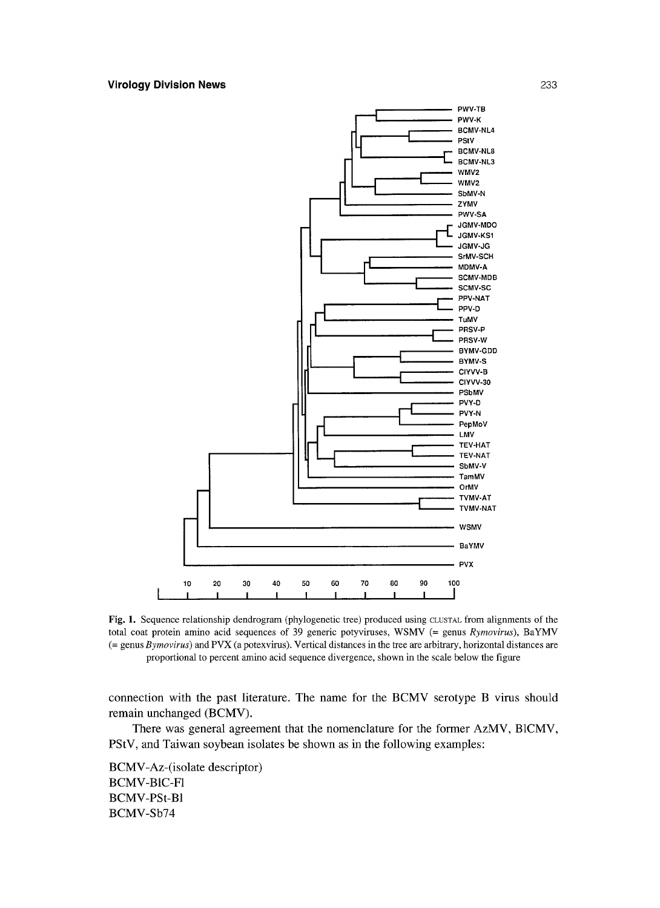

Fig. 1. Sequence relationship dendrogram (phylogenetic tree) produced using CLUSTAL from alignments of the total coat protein amino acid sequences of 39 generic potyviruses, WSMV (= genus *Rymovirus),* BaYMV (= genus *Bymovirus)* and PVX (a potexvirus). Vertical distances in the tree are arbitrary, horizontal distances are proportional to percent amino acid sequence divergence, shown in the scale below the figure

connection with the past literature. The name for the BCMV serotype B virus should remain unchanged (BCMV).

There was general agreement that the nomenclature for the former AzMV, B1CMV, PStV, and Taiwan soybean isolates be shown as in the following examples:

BCMV-Az-(isolate descriptor) BCMV-B1C-F1 BCMV-PSt-B1 BCMV-Sb74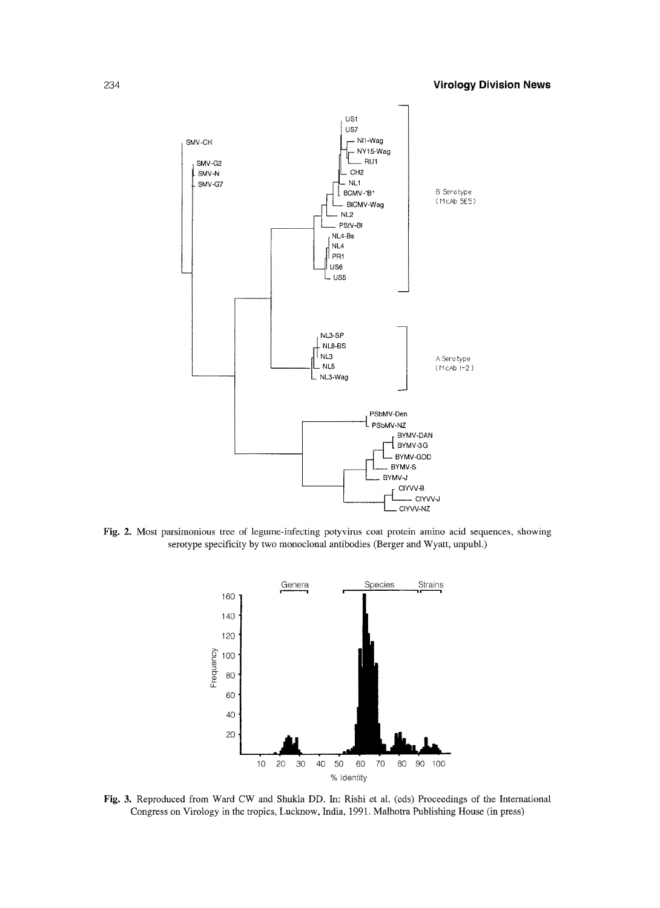

Fig. 2. Most parsimonious tree of legume-infecting potyvirus coat protein amino acid sequences, showing serotype specificity by two monoclonal antibodies (Berger and Wyatt, unpubl.)



Fig. 3. Reproduced from Ward CW and Shukta DD. In: Rishi et aI. (eds) Proceedings of the International Congress on Virology in the tropics, Lucknow, India, 1991. Malhotra Publishing House (in press)